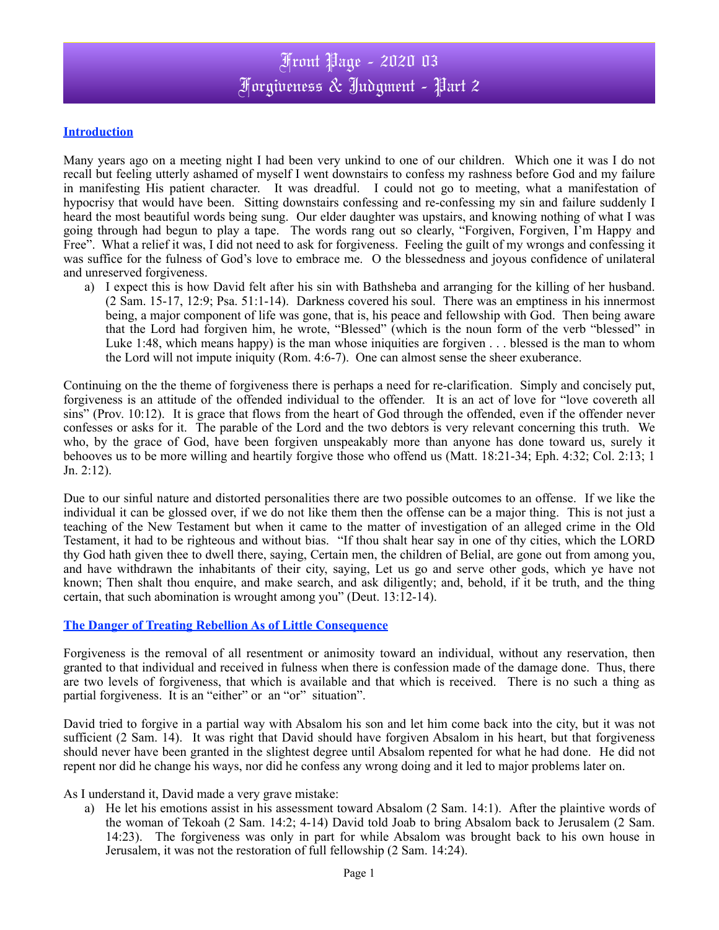### **Introduction**

Many years ago on a meeting night I had been very unkind to one of our children. Which one it was I do not recall but feeling utterly ashamed of myself I went downstairs to confess my rashness before God and my failure in manifesting His patient character. It was dreadful. I could not go to meeting, what a manifestation of hypocrisy that would have been. Sitting downstairs confessing and re-confessing my sin and failure suddenly I heard the most beautiful words being sung. Our elder daughter was upstairs, and knowing nothing of what I was going through had begun to play a tape. The words rang out so clearly, "Forgiven, Forgiven, I'm Happy and Free". What a relief it was, I did not need to ask for forgiveness. Feeling the guilt of my wrongs and confessing it was suffice for the fulness of God's love to embrace me. O the blessedness and joyous confidence of unilateral and unreserved forgiveness.

a) I expect this is how David felt after his sin with Bathsheba and arranging for the killing of her husband. (2 Sam. 15-17, 12:9; Psa. 51:1-14). Darkness covered his soul. There was an emptiness in his innermost being, a major component of life was gone, that is, his peace and fellowship with God. Then being aware that the Lord had forgiven him, he wrote, "Blessed" (which is the noun form of the verb "blessed" in Luke 1:48, which means happy) is the man whose iniquities are forgiven . . . blessed is the man to whom the Lord will not impute iniquity (Rom. 4:6-7). One can almost sense the sheer exuberance.

Continuing on the the theme of forgiveness there is perhaps a need for re-clarification. Simply and concisely put, forgiveness is an attitude of the offended individual to the offender. It is an act of love for "love covereth all sins" (Prov. 10:12). It is grace that flows from the heart of God through the offended, even if the offender never confesses or asks for it. The parable of the Lord and the two debtors is very relevant concerning this truth. We who, by the grace of God, have been forgiven unspeakably more than anyone has done toward us, surely it behooves us to be more willing and heartily forgive those who offend us (Matt. 18:21-34; Eph. 4:32; Col. 2:13; 1 Jn. 2:12).

Due to our sinful nature and distorted personalities there are two possible outcomes to an offense. If we like the individual it can be glossed over, if we do not like them then the offense can be a major thing. This is not just a teaching of the New Testament but when it came to the matter of investigation of an alleged crime in the Old Testament, it had to be righteous and without bias. "If thou shalt hear say in one of thy cities, which the LORD thy God hath given thee to dwell there, saying, Certain men, the children of Belial, are gone out from among you, and have withdrawn the inhabitants of their city, saying, Let us go and serve other gods, which ye have not known; Then shalt thou enquire, and make search, and ask diligently; and, behold, if it be truth, and the thing certain, that such abomination is wrought among you" (Deut. 13:12-14).

### **The Danger of Treating Rebellion As of Little Consequence**

Forgiveness is the removal of all resentment or animosity toward an individual, without any reservation, then granted to that individual and received in fulness when there is confession made of the damage done. Thus, there are two levels of forgiveness, that which is available and that which is received. There is no such a thing as partial forgiveness. It is an "either" or an "or" situation".

David tried to forgive in a partial way with Absalom his son and let him come back into the city, but it was not sufficient (2 Sam. 14). It was right that David should have forgiven Absalom in his heart, but that forgiveness should never have been granted in the slightest degree until Absalom repented for what he had done. He did not repent nor did he change his ways, nor did he confess any wrong doing and it led to major problems later on.

As I understand it, David made a very grave mistake:

a) He let his emotions assist in his assessment toward Absalom (2 Sam. 14:1). After the plaintive words of the woman of Tekoah (2 Sam. 14:2; 4-14) David told Joab to bring Absalom back to Jerusalem (2 Sam. 14:23). The forgiveness was only in part for while Absalom was brought back to his own house in Jerusalem, it was not the restoration of full fellowship (2 Sam. 14:24).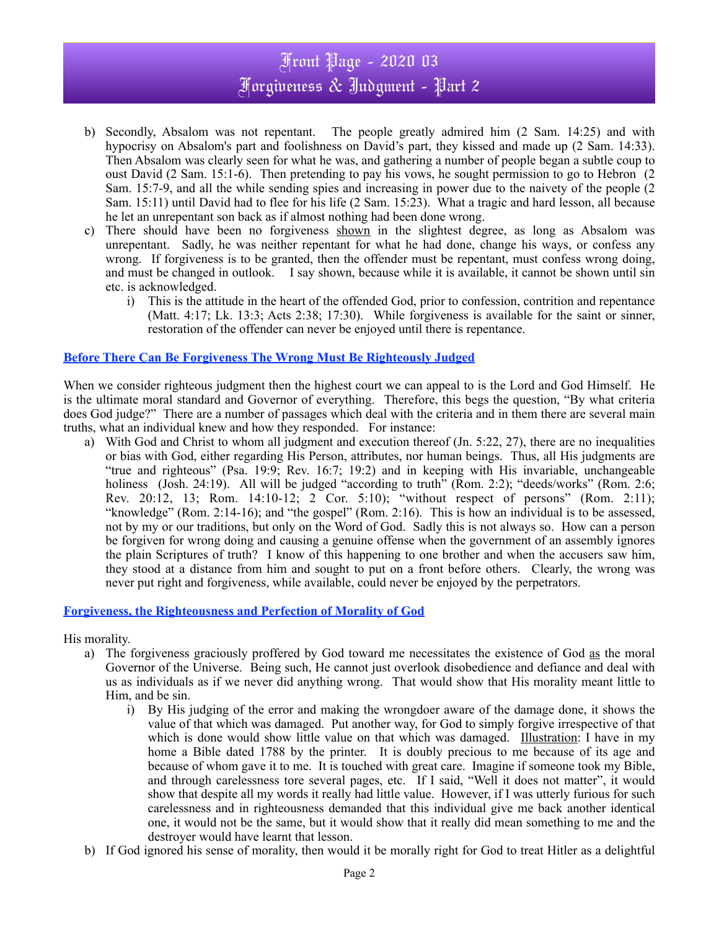# Front Page - 2020 03 Forgiveness & Judgment - Part 2

- b) Secondly, Absalom was not repentant. The people greatly admired him (2 Sam. 14:25) and with hypocrisy on Absalom's part and foolishness on David's part, they kissed and made up (2 Sam. 14:33). Then Absalom was clearly seen for what he was, and gathering a number of people began a subtle coup to oust David (2 Sam. 15:1-6). Then pretending to pay his vows, he sought permission to go to Hebron (2 Sam. 15:7-9, and all the while sending spies and increasing in power due to the naivety of the people (2 Sam. 15:11) until David had to flee for his life (2 Sam. 15:23). What a tragic and hard lesson, all because he let an unrepentant son back as if almost nothing had been done wrong.
- c) There should have been no forgiveness shown in the slightest degree, as long as Absalom was unrepentant. Sadly, he was neither repentant for what he had done, change his ways, or confess any wrong. If forgiveness is to be granted, then the offender must be repentant, must confess wrong doing, and must be changed in outlook. I say shown, because while it is available, it cannot be shown until sin etc. is acknowledged.
	- i) This is the attitude in the heart of the offended God, prior to confession, contrition and repentance (Matt. 4:17; Lk. 13:3; Acts 2:38; 17:30). While forgiveness is available for the saint or sinner, restoration of the offender can never be enjoyed until there is repentance.

#### **Before There Can Be Forgiveness The Wrong Must Be Righteously Judged**

When we consider righteous judgment then the highest court we can appeal to is the Lord and God Himself. He is the ultimate moral standard and Governor of everything. Therefore, this begs the question, "By what criteria does God judge?" There are a number of passages which deal with the criteria and in them there are several main truths, what an individual knew and how they responded. For instance:

a) With God and Christ to whom all judgment and execution thereof (Jn. 5:22, 27), there are no inequalities or bias with God, either regarding His Person, attributes, nor human beings. Thus, all His judgments are "true and righteous" (Psa. 19:9; Rev. 16:7; 19:2) and in keeping with His invariable, unchangeable holiness (Josh. 24:19). All will be judged "according to truth" (Rom. 2:2); "deeds/works" (Rom. 2:6; Rev. 20:12, 13; Rom. 14:10-12; 2 Cor. 5:10); "without respect of persons" (Rom. 2:11); "knowledge" (Rom. 2:14-16); and "the gospel" (Rom. 2:16). This is how an individual is to be assessed, not by my or our traditions, but only on the Word of God. Sadly this is not always so. How can a person be forgiven for wrong doing and causing a genuine offense when the government of an assembly ignores the plain Scriptures of truth? I know of this happening to one brother and when the accusers saw him, they stood at a distance from him and sought to put on a front before others. Clearly, the wrong was never put right and forgiveness, while available, could never be enjoyed by the perpetrators.

#### **Forgiveness, the Righteousness and Perfection of Morality of God**

His morality.

- a) The forgiveness graciously proffered by God toward me necessitates the existence of God as the moral Governor of the Universe. Being such, He cannot just overlook disobedience and defiance and deal with us as individuals as if we never did anything wrong. That would show that His morality meant little to Him, and be sin.
	- i) By His judging of the error and making the wrongdoer aware of the damage done, it shows the value of that which was damaged. Put another way, for God to simply forgive irrespective of that which is done would show little value on that which was damaged. **Illustration**: I have in my home a Bible dated 1788 by the printer. It is doubly precious to me because of its age and because of whom gave it to me. It is touched with great care. Imagine if someone took my Bible, and through carelessness tore several pages, etc. If I said, "Well it does not matter", it would show that despite all my words it really had little value. However, if I was utterly furious for such carelessness and in righteousness demanded that this individual give me back another identical one, it would not be the same, but it would show that it really did mean something to me and the destroyer would have learnt that lesson.
- b) If God ignored his sense of morality, then would it be morally right for God to treat Hitler as a delightful